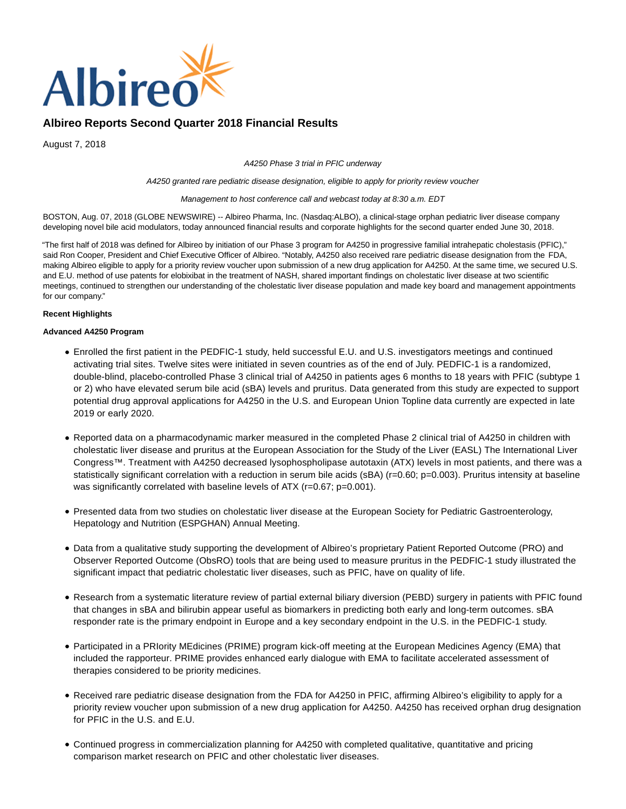

August 7, 2018

A4250 Phase 3 trial in PFIC underway

A4250 granted rare pediatric disease designation, eligible to apply for priority review voucher

Management to host conference call and webcast today at 8:30 a.m. EDT

BOSTON, Aug. 07, 2018 (GLOBE NEWSWIRE) -- Albireo Pharma, Inc. (Nasdaq:ALBO), a clinical-stage orphan pediatric liver disease company developing novel bile acid modulators, today announced financial results and corporate highlights for the second quarter ended June 30, 2018.

"The first half of 2018 was defined for Albireo by initiation of our Phase 3 program for A4250 in progressive familial intrahepatic cholestasis (PFIC)," said Ron Cooper, President and Chief Executive Officer of Albireo. "Notably, A4250 also received rare pediatric disease designation from the FDA, making Albireo eligible to apply for a priority review voucher upon submission of a new drug application for A4250. At the same time, we secured U.S. and E.U. method of use patents for elobixibat in the treatment of NASH, shared important findings on cholestatic liver disease at two scientific meetings, continued to strengthen our understanding of the cholestatic liver disease population and made key board and management appointments for our company."

#### **Recent Highlights**

### **Advanced A4250 Program**

- Enrolled the first patient in the PEDFIC-1 study, held successful E.U. and U.S. investigators meetings and continued activating trial sites. Twelve sites were initiated in seven countries as of the end of July. PEDFIC-1 is a randomized, double-blind, placebo-controlled Phase 3 clinical trial of A4250 in patients ages 6 months to 18 years with PFIC (subtype 1 or 2) who have elevated serum bile acid (sBA) levels and pruritus. Data generated from this study are expected to support potential drug approval applications for A4250 in the U.S. and European Union Topline data currently are expected in late 2019 or early 2020.
- Reported data on a pharmacodynamic marker measured in the completed Phase 2 clinical trial of A4250 in children with cholestatic liver disease and pruritus at the European Association for the Study of the Liver (EASL) The International Liver Congress™. Treatment with A4250 decreased lysophospholipase autotaxin (ATX) levels in most patients, and there was a statistically significant correlation with a reduction in serum bile acids (sBA) (r=0.60; p=0.003). Pruritus intensity at baseline was significantly correlated with baseline levels of ATX (r=0.67; p=0.001).
- Presented data from two studies on cholestatic liver disease at the European Society for Pediatric Gastroenterology, Hepatology and Nutrition (ESPGHAN) Annual Meeting.
- Data from a qualitative study supporting the development of Albireo's proprietary Patient Reported Outcome (PRO) and Observer Reported Outcome (ObsRO) tools that are being used to measure pruritus in the PEDFIC-1 study illustrated the significant impact that pediatric cholestatic liver diseases, such as PFIC, have on quality of life.
- Research from a systematic literature review of partial external biliary diversion (PEBD) surgery in patients with PFIC found that changes in sBA and bilirubin appear useful as biomarkers in predicting both early and long-term outcomes. sBA responder rate is the primary endpoint in Europe and a key secondary endpoint in the U.S. in the PEDFIC-1 study.
- Participated in a PRIority MEdicines (PRIME) program kick-off meeting at the European Medicines Agency (EMA) that included the rapporteur. PRIME provides enhanced early dialogue with EMA to facilitate accelerated assessment of therapies considered to be priority medicines.
- Received rare pediatric disease designation from the FDA for A4250 in PFIC, affirming Albireo's eligibility to apply for a priority review voucher upon submission of a new drug application for A4250. A4250 has received orphan drug designation for PFIC in the U.S. and E.U.
- Continued progress in commercialization planning for A4250 with completed qualitative, quantitative and pricing comparison market research on PFIC and other cholestatic liver diseases.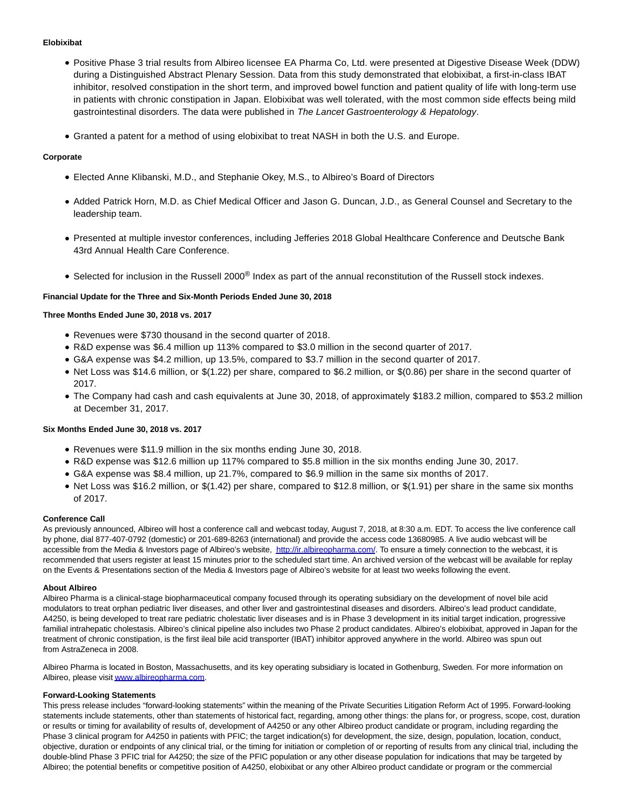#### **Elobixibat**

- Positive Phase 3 trial results from Albireo licensee EA Pharma Co, Ltd. were presented at Digestive Disease Week (DDW) during a Distinguished Abstract Plenary Session. Data from this study demonstrated that elobixibat, a first-in-class IBAT inhibitor, resolved constipation in the short term, and improved bowel function and patient quality of life with long-term use in patients with chronic constipation in Japan. Elobixibat was well tolerated, with the most common side effects being mild gastrointestinal disorders. The data were published in The Lancet Gastroenterology & Hepatology.
- Granted a patent for a method of using elobixibat to treat NASH in both the U.S. and Europe.

## **Corporate**

- Elected Anne Klibanski, M.D., and Stephanie Okey, M.S., to Albireo's Board of Directors
- Added Patrick Horn, M.D. as Chief Medical Officer and Jason G. Duncan, J.D., as General Counsel and Secretary to the leadership team.
- Presented at multiple investor conferences, including Jefferies 2018 Global Healthcare Conference and Deutsche Bank 43rd Annual Health Care Conference.
- Selected for inclusion in the Russell 2000® Index as part of the annual reconstitution of the Russell stock indexes.

#### **Financial Update for the Three and Six-Month Periods Ended June 30, 2018**

#### **Three Months Ended June 30, 2018 vs. 2017**

- Revenues were \$730 thousand in the second quarter of 2018.
- R&D expense was \$6.4 million up 113% compared to \$3.0 million in the second quarter of 2017.
- G&A expense was \$4.2 million, up 13.5%, compared to \$3.7 million in the second quarter of 2017.
- Net Loss was \$14.6 million, or \$(1.22) per share, compared to \$6.2 million, or \$(0.86) per share in the second quarter of 2017.
- The Company had cash and cash equivalents at June 30, 2018, of approximately \$183.2 million, compared to \$53.2 million at December 31, 2017.

#### **Six Months Ended June 30, 2018 vs. 2017**

- Revenues were \$11.9 million in the six months ending June 30, 2018.
- R&D expense was \$12.6 million up 117% compared to \$5.8 million in the six months ending June 30, 2017.
- G&A expense was \$8.4 million, up 21.7%, compared to \$6.9 million in the same six months of 2017.
- Net Loss was \$16.2 million, or \$(1.42) per share, compared to \$12.8 million, or \$(1.91) per share in the same six months of 2017.

#### **Conference Call**

As previously announced, Albireo will host a conference call and webcast today, August 7, 2018, at 8:30 a.m. EDT. To access the live conference call by phone, dial 877-407-0792 (domestic) or 201-689-8263 (international) and provide the access code 13680985. A live audio webcast will be accessible from the Media & Investors page of Albireo's website, [http://ir.albireopharma.com/.](https://www.globenewswire.com/Tracker?data=Ntj5RwzTSOHWSvVMPFFxucErJjgFFN3EKRRU39QQ-1ntxrLmw_iEmXFI5BRBecrt3AJ1jD-J3esbcKf4Ol8MDuHNTR446QsgjDKEFZdeRF4=) To ensure a timely connection to the webcast, it is recommended that users register at least 15 minutes prior to the scheduled start time. An archived version of the webcast will be available for replay on the Events & Presentations section of the Media & Investors page of Albireo's website for at least two weeks following the event.

#### **About Albireo**

Albireo Pharma is a clinical-stage biopharmaceutical company focused through its operating subsidiary on the development of novel bile acid modulators to treat orphan pediatric liver diseases, and other liver and gastrointestinal diseases and disorders. Albireo's lead product candidate, A4250, is being developed to treat rare pediatric cholestatic liver diseases and is in Phase 3 development in its initial target indication, progressive familial intrahepatic cholestasis. Albireo's clinical pipeline also includes two Phase 2 product candidates. Albireo's elobixibat, approved in Japan for the treatment of chronic constipation, is the first ileal bile acid transporter (IBAT) inhibitor approved anywhere in the world. Albireo was spun out from AstraZeneca in 2008.

Albireo Pharma is located in Boston, Massachusetts, and its key operating subsidiary is located in Gothenburg, Sweden. For more information on Albireo, please visi[t www.albireopharma.com.](https://www.globenewswire.com/Tracker?data=siOzMF2eMfgS9soAS1JFEOgVDRck6lnprbWLbirt5dRzlUKBHHcOFZ4fEI2q6wt6n2IjDGTeo_0_WFgNLR7M1c8E-od8qWRvlzMo0T6ZkAM=)

#### **Forward-Looking Statements**

This press release includes "forward-looking statements" within the meaning of the Private Securities Litigation Reform Act of 1995. Forward-looking statements include statements, other than statements of historical fact, regarding, among other things: the plans for, or progress, scope, cost, duration or results or timing for availability of results of, development of A4250 or any other Albireo product candidate or program, including regarding the Phase 3 clinical program for A4250 in patients with PFIC; the target indication(s) for development, the size, design, population, location, conduct, objective, duration or endpoints of any clinical trial, or the timing for initiation or completion of or reporting of results from any clinical trial, including the double-blind Phase 3 PFIC trial for A4250; the size of the PFIC population or any other disease population for indications that may be targeted by Albireo; the potential benefits or competitive position of A4250, elobixibat or any other Albireo product candidate or program or the commercial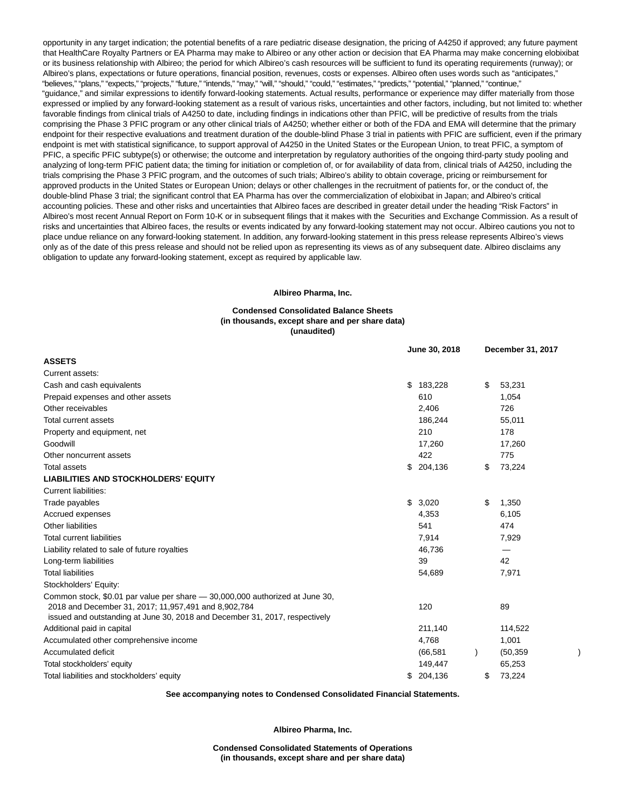opportunity in any target indication; the potential benefits of a rare pediatric disease designation, the pricing of A4250 if approved; any future payment that HealthCare Royalty Partners or EA Pharma may make to Albireo or any other action or decision that EA Pharma may make concerning elobixibat or its business relationship with Albireo; the period for which Albireo's cash resources will be sufficient to fund its operating requirements (runway); or Albireo's plans, expectations or future operations, financial position, revenues, costs or expenses. Albireo often uses words such as "anticipates," "believes," "plans," "expects," "projects," "future," "intends," "may," "will," "should," "could," "estimates," "predicts," "potential," "planned," "continue," "guidance," and similar expressions to identify forward-looking statements. Actual results, performance or experience may differ materially from those expressed or implied by any forward-looking statement as a result of various risks, uncertainties and other factors, including, but not limited to: whether favorable findings from clinical trials of A4250 to date, including findings in indications other than PFIC, will be predictive of results from the trials comprising the Phase 3 PFIC program or any other clinical trials of A4250; whether either or both of the FDA and EMA will determine that the primary endpoint for their respective evaluations and treatment duration of the double-blind Phase 3 trial in patients with PFIC are sufficient, even if the primary endpoint is met with statistical significance, to support approval of A4250 in the United States or the European Union, to treat PFIC, a symptom of PFIC, a specific PFIC subtype(s) or otherwise; the outcome and interpretation by regulatory authorities of the ongoing third-party study pooling and analyzing of long-term PFIC patient data; the timing for initiation or completion of, or for availability of data from, clinical trials of A4250, including the trials comprising the Phase 3 PFIC program, and the outcomes of such trials; Albireo's ability to obtain coverage, pricing or reimbursement for approved products in the United States or European Union; delays or other challenges in the recruitment of patients for, or the conduct of, the double-blind Phase 3 trial; the significant control that EA Pharma has over the commercialization of elobixibat in Japan; and Albireo's critical accounting policies. These and other risks and uncertainties that Albireo faces are described in greater detail under the heading "Risk Factors" in Albireo's most recent Annual Report on Form 10-K or in subsequent filings that it makes with the Securities and Exchange Commission. As a result of risks and uncertainties that Albireo faces, the results or events indicated by any forward-looking statement may not occur. Albireo cautions you not to place undue reliance on any forward-looking statement. In addition, any forward-looking statement in this press release represents Albireo's views only as of the date of this press release and should not be relied upon as representing its views as of any subsequent date. Albireo disclaims any obligation to update any forward-looking statement, except as required by applicable law.

#### **Albireo Pharma, Inc.**

#### **Condensed Consolidated Balance Sheets (in thousands, except share and per share data) (unaudited)**

|                                                                                                                                                                                                                     |  | June 30, 2018 | December 31, 2017 |  |  |  |
|---------------------------------------------------------------------------------------------------------------------------------------------------------------------------------------------------------------------|--|---------------|-------------------|--|--|--|
| <b>ASSETS</b>                                                                                                                                                                                                       |  |               |                   |  |  |  |
| Current assets:                                                                                                                                                                                                     |  |               |                   |  |  |  |
| Cash and cash equivalents                                                                                                                                                                                           |  | \$183,228     | \$<br>53,231      |  |  |  |
| Prepaid expenses and other assets                                                                                                                                                                                   |  | 610           | 1,054             |  |  |  |
| Other receivables                                                                                                                                                                                                   |  | 2,406         | 726               |  |  |  |
| Total current assets                                                                                                                                                                                                |  | 186,244       | 55,011            |  |  |  |
| Property and equipment, net                                                                                                                                                                                         |  | 210           | 178               |  |  |  |
| Goodwill                                                                                                                                                                                                            |  | 17,260        | 17,260            |  |  |  |
| Other noncurrent assets                                                                                                                                                                                             |  | 422           | 775               |  |  |  |
| <b>Total assets</b>                                                                                                                                                                                                 |  | \$204,136     | \$<br>73,224      |  |  |  |
| <b>LIABILITIES AND STOCKHOLDERS' EQUITY</b>                                                                                                                                                                         |  |               |                   |  |  |  |
| <b>Current liabilities:</b>                                                                                                                                                                                         |  |               |                   |  |  |  |
| Trade payables                                                                                                                                                                                                      |  | \$3,020       | \$<br>1,350       |  |  |  |
| Accrued expenses                                                                                                                                                                                                    |  | 4,353         | 6,105             |  |  |  |
| <b>Other liabilities</b>                                                                                                                                                                                            |  | 541           | 474               |  |  |  |
| <b>Total current liabilities</b>                                                                                                                                                                                    |  | 7,914         | 7,929             |  |  |  |
| Liability related to sale of future royalties                                                                                                                                                                       |  | 46,736        |                   |  |  |  |
| Long-term liabilities                                                                                                                                                                                               |  | 39            | 42                |  |  |  |
| <b>Total liabilities</b>                                                                                                                                                                                            |  | 54,689        | 7,971             |  |  |  |
| Stockholders' Equity:                                                                                                                                                                                               |  |               |                   |  |  |  |
| Common stock, \$0.01 par value per share - 30,000,000 authorized at June 30,<br>2018 and December 31, 2017; 11,957,491 and 8,902,784<br>issued and outstanding at June 30, 2018 and December 31, 2017, respectively |  | 120           | 89                |  |  |  |
| Additional paid in capital                                                                                                                                                                                          |  | 211,140       | 114,522           |  |  |  |
| Accumulated other comprehensive income                                                                                                                                                                              |  | 4,768         | 1,001             |  |  |  |
| Accumulated deficit                                                                                                                                                                                                 |  | (66, 581)     | (50, 359)         |  |  |  |
| Total stockholders' equity                                                                                                                                                                                          |  | 149,447       | 65,253            |  |  |  |
| Total liabilities and stockholders' equity                                                                                                                                                                          |  | \$204,136     | \$<br>73,224      |  |  |  |

**See accompanying notes to Condensed Consolidated Financial Statements.**

**Albireo Pharma, Inc.**

**Condensed Consolidated Statements of Operations (in thousands, except share and per share data)**